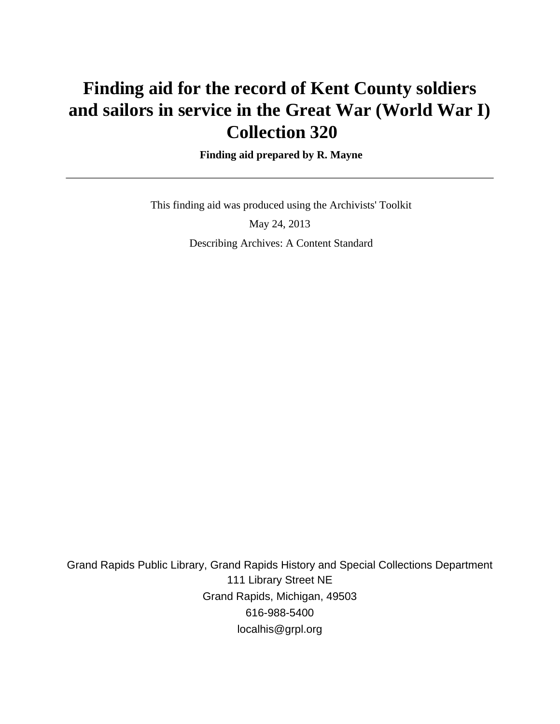# **Finding aid for the record of Kent County soldiers and sailors in service in the Great War (World War I) Collection 320**

 **Finding aid prepared by R. Mayne**

This finding aid was produced using the Archivists' Toolkit

May 24, 2013 Describing Archives: A Content Standard

Grand Rapids Public Library, Grand Rapids History and Special Collections Department 111 Library Street NE Grand Rapids, Michigan, 49503 616-988-5400 localhis@grpl.org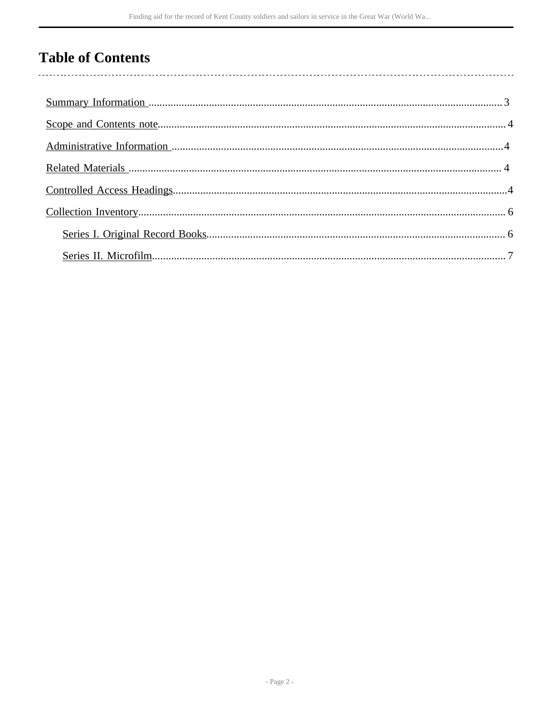## **Table of Contents**

l,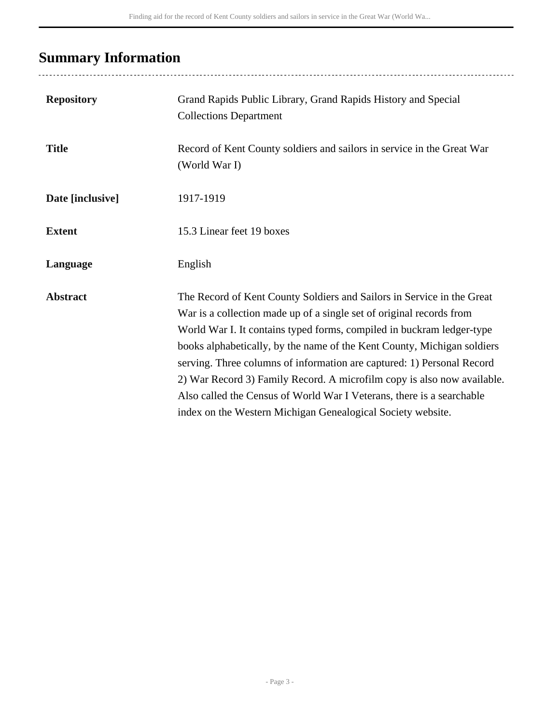# <span id="page-2-0"></span>**Summary Information**

| <b>Repository</b> | Grand Rapids Public Library, Grand Rapids History and Special<br><b>Collections Department</b>                                                                                                                                                                                                                                                                                                                                                                                                                                                                                                  |
|-------------------|-------------------------------------------------------------------------------------------------------------------------------------------------------------------------------------------------------------------------------------------------------------------------------------------------------------------------------------------------------------------------------------------------------------------------------------------------------------------------------------------------------------------------------------------------------------------------------------------------|
| <b>Title</b>      | Record of Kent County soldiers and sailors in service in the Great War<br>(World War I)                                                                                                                                                                                                                                                                                                                                                                                                                                                                                                         |
| Date [inclusive]  | 1917-1919                                                                                                                                                                                                                                                                                                                                                                                                                                                                                                                                                                                       |
| <b>Extent</b>     | 15.3 Linear feet 19 boxes                                                                                                                                                                                                                                                                                                                                                                                                                                                                                                                                                                       |
| Language          | English                                                                                                                                                                                                                                                                                                                                                                                                                                                                                                                                                                                         |
| <b>Abstract</b>   | The Record of Kent County Soldiers and Sailors in Service in the Great<br>War is a collection made up of a single set of original records from<br>World War I. It contains typed forms, compiled in buckram ledger-type<br>books alphabetically, by the name of the Kent County, Michigan soldiers<br>serving. Three columns of information are captured: 1) Personal Record<br>2) War Record 3) Family Record. A microfilm copy is also now available.<br>Also called the Census of World War I Veterans, there is a searchable<br>index on the Western Michigan Genealogical Society website. |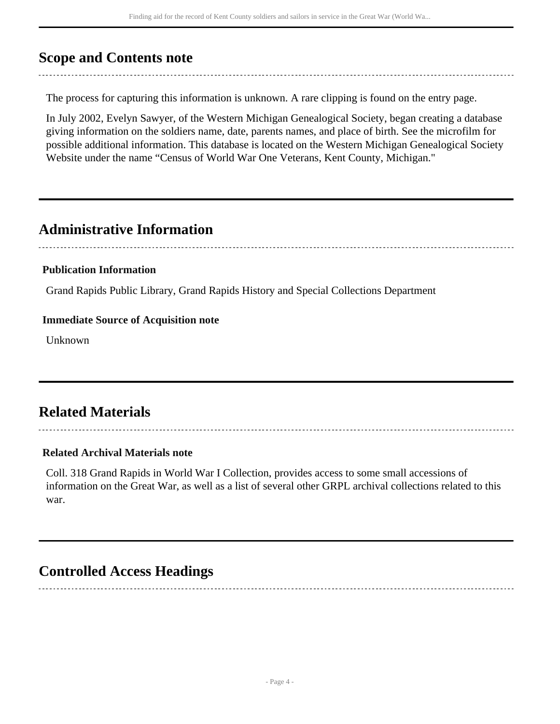### <span id="page-3-0"></span>**Scope and Contents note**

The process for capturing this information is unknown. A rare clipping is found on the entry page.

In July 2002, Evelyn Sawyer, of the Western Michigan Genealogical Society, began creating a database giving information on the soldiers name, date, parents names, and place of birth. See the microfilm for possible additional information. This database is located on the Western Michigan Genealogical Society Website under the name "Census of World War One Veterans, Kent County, Michigan."

### <span id="page-3-1"></span>**Administrative Information**

#### **Publication Information**

Grand Rapids Public Library, Grand Rapids History and Special Collections Department

#### **Immediate Source of Acquisition note**

Unknown

## <span id="page-3-2"></span>**Related Materials**

#### **Related Archival Materials note**

Coll. 318 Grand Rapids in World War I Collection, provides access to some small accessions of information on the Great War, as well as a list of several other GRPL archival collections related to this war.

### <span id="page-3-3"></span>**Controlled Access Headings**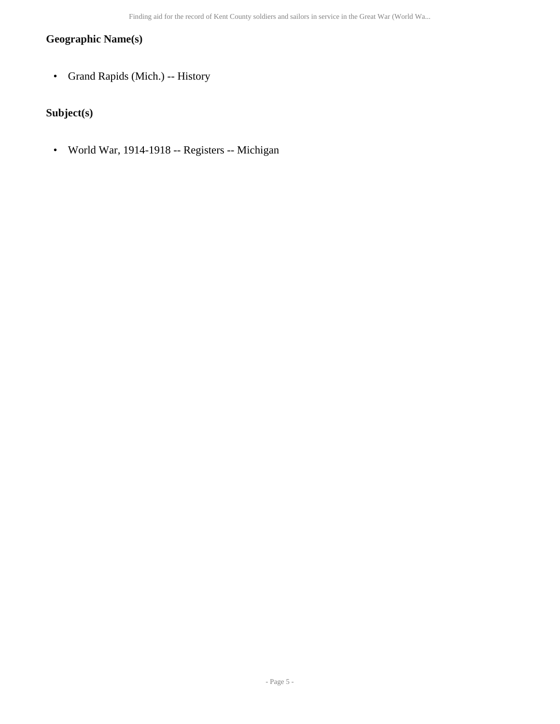#### **Geographic Name(s)**

• Grand Rapids (Mich.) -- History

### **Subject(s)**

• World War, 1914-1918 -- Registers -- Michigan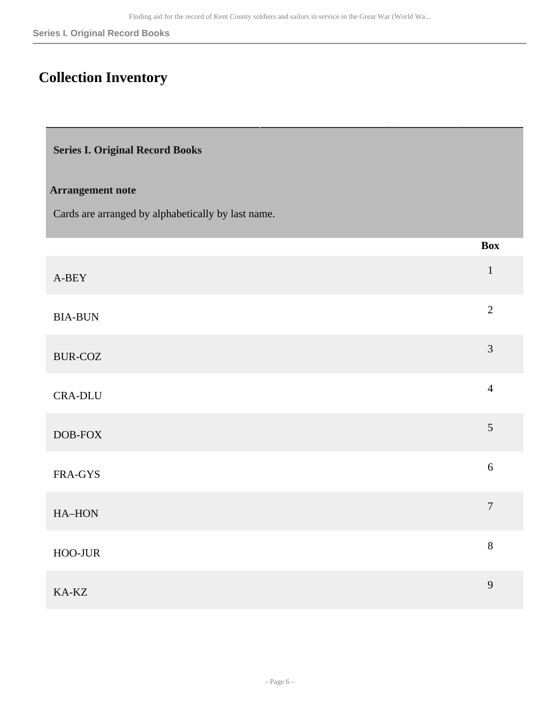## <span id="page-5-0"></span>**Collection Inventory**

<span id="page-5-1"></span>

|  | <b>Series I. Original Record Books</b> |  |  |
|--|----------------------------------------|--|--|
|--|----------------------------------------|--|--|

#### **Arrangement note**

Cards are arranged by alphabetically by last name.

|                    | <b>Box</b>       |
|--------------------|------------------|
| $A-BEY$            | $\mathbf{1}$     |
| <b>BIA-BUN</b>     | $\overline{2}$   |
| <b>BUR-COZ</b>     | 3                |
| <b>CRA-DLU</b>     | $\overline{4}$   |
| $\textsc{DOB-FOX}$ | 5                |
| FRA-GYS            | $\sqrt{6}$       |
| HA-HON             | $\boldsymbol{7}$ |
| $HOO-JUR$          | $8\,$            |
| KA-KZ              | 9                |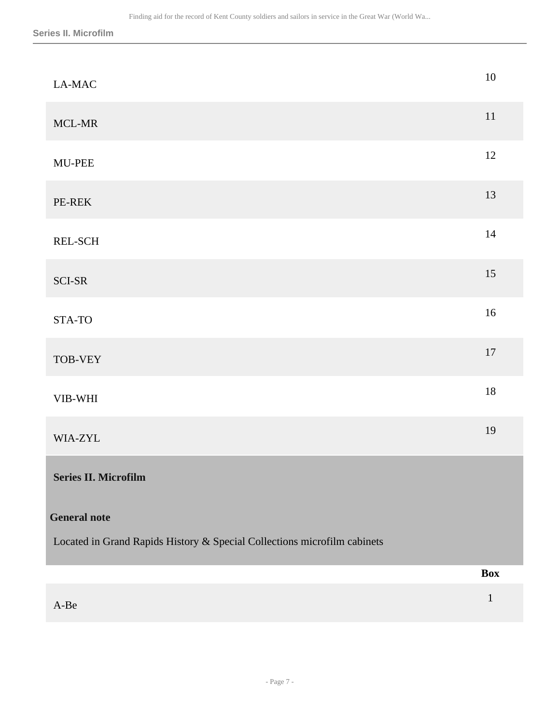<span id="page-6-0"></span>

| $\operatorname{A-Be}$                                                                                                   | $\mathbf{1}$ |
|-------------------------------------------------------------------------------------------------------------------------|--------------|
|                                                                                                                         | <b>Box</b>   |
| Series II. Microfilm<br><b>General note</b><br>Located in Grand Rapids History & Special Collections microfilm cabinets |              |
|                                                                                                                         |              |
| WIA-ZYL                                                                                                                 | 19           |
| VIB-WHI                                                                                                                 | $18\,$       |
| TOB-VEY                                                                                                                 | $17\,$       |
| STA-TO                                                                                                                  | $16\,$       |
| SCI-SR                                                                                                                  | 15           |
| REL-SCH                                                                                                                 | $14\,$       |
| PE-REK                                                                                                                  | 13           |
| MU-PEE                                                                                                                  | 12           |
| MCL-MR                                                                                                                  | $11\,$       |
| LA-MAC                                                                                                                  | $10\,$       |